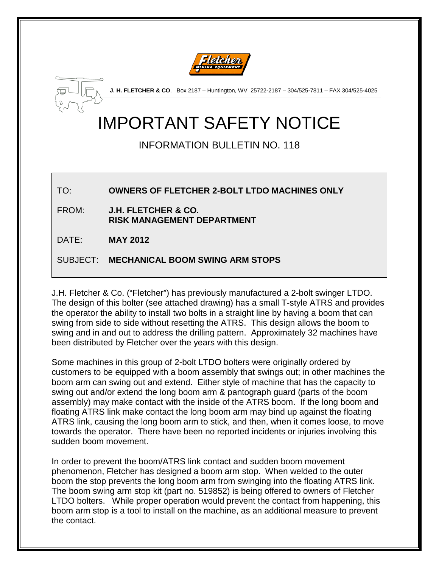



**J. H. FLETCHER & CO**. Box 2187 – Huntington, WV 25722-2187 – 304/525-7811 – FAX 304/525-4025

## IMPORTANT SAFETY NOTICE

## INFORMATION BULLETIN NO. 118

TO: **OWNERS OF FLETCHER 2-BOLT LTDO MACHINES ONLY**

FROM: **J.H. FLETCHER & CO. RISK MANAGEMENT DEPARTMENT**

DATE: **MAY 2012**

SUBJECT: **MECHANICAL BOOM SWING ARM STOPS**

J.H. Fletcher & Co. ("Fletcher") has previously manufactured a 2-bolt swinger LTDO. The design of this bolter (see attached drawing) has a small T-style ATRS and provides the operator the ability to install two bolts in a straight line by having a boom that can swing from side to side without resetting the ATRS. This design allows the boom to swing and in and out to address the drilling pattern. Approximately 32 machines have been distributed by Fletcher over the years with this design.

Some machines in this group of 2-bolt LTDO bolters were originally ordered by customers to be equipped with a boom assembly that swings out; in other machines the boom arm can swing out and extend. Either style of machine that has the capacity to swing out and/or extend the long boom arm & pantograph guard (parts of the boom assembly) may make contact with the inside of the ATRS boom. If the long boom and floating ATRS link make contact the long boom arm may bind up against the floating ATRS link, causing the long boom arm to stick, and then, when it comes loose, to move towards the operator. There have been no reported incidents or injuries involving this sudden boom movement.

In order to prevent the boom/ATRS link contact and sudden boom movement phenomenon, Fletcher has designed a boom arm stop. When welded to the outer boom the stop prevents the long boom arm from swinging into the floating ATRS link. The boom swing arm stop kit (part no. 519852) is being offered to owners of Fletcher LTDO bolters. While proper operation would prevent the contact from happening, this boom arm stop is a tool to install on the machine, as an additional measure to prevent the contact.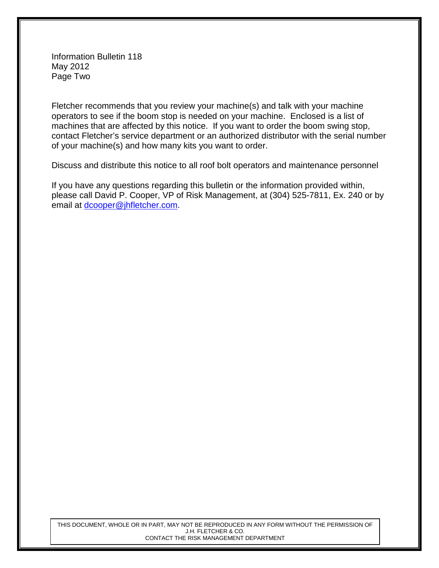Information Bulletin 118 May 2012 Page Two

Fletcher recommends that you review your machine(s) and talk with your machine operators to see if the boom stop is needed on your machine. Enclosed is a list of machines that are affected by this notice. If you want to order the boom swing stop, contact Fletcher's service department or an authorized distributor with the serial number of your machine(s) and how many kits you want to order.

Discuss and distribute this notice to all roof bolt operators and maintenance personnel

If you have any questions regarding this bulletin or the information provided within, please call David P. Cooper, VP of Risk Management, at (304) 525-7811, Ex. 240 or by email at [dcooper@jhfletcher.com.](mailto:dcooper@jhfletcher.com)

THIS DOCUMENT, WHOLE OR IN PART, MAY NOT BE REPRODUCED IN ANY FORM WITHOUT THE PERMISSION OF J.H. FLETCHER & CO. CONTACT THE RISK MANAGEMENT DEPARTMENT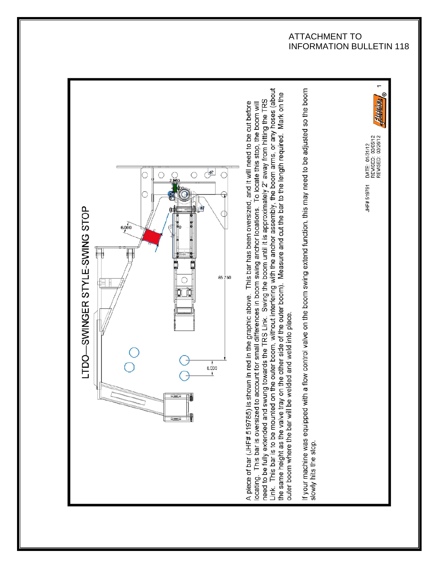## ATTACHMENT TO INFORMATION BULLETIN 118